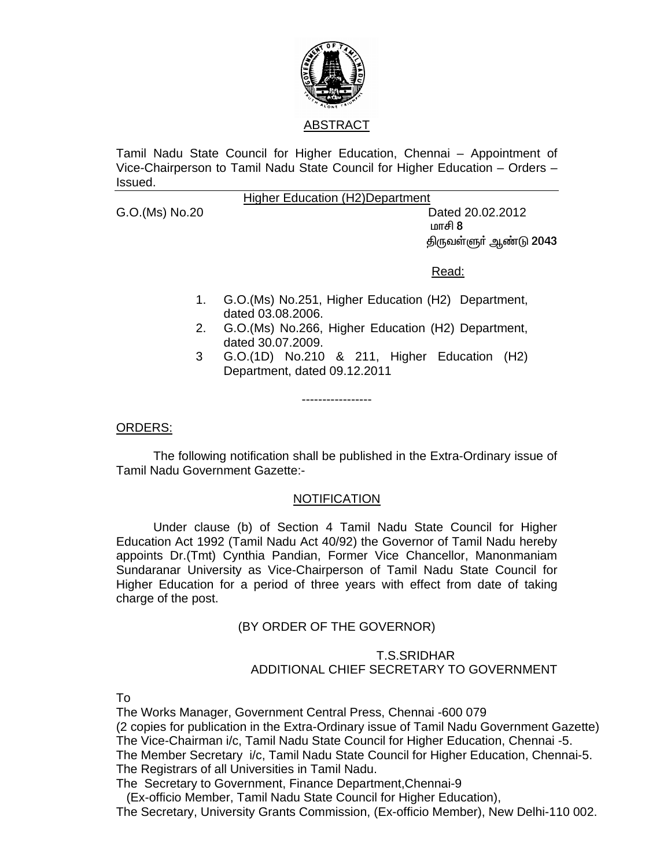

ABSTRACT

Tamil Nadu State Council for Higher Education, Chennai – Appointment of Vice-Chairperson to Tamil Nadu State Council for Higher Education – Orders – Issued.

## Higher Education (H2)Department

G.O.(Ms) No.20 Dated 20.02.2012  $\mathfrak{m}$  and  $\mathfrak{m}$  and  $\mathfrak{m}$  and  $\mathfrak{m}$  and  $\mathfrak{m}$  and  $\mathfrak{m}$ திருவள்ளுா் ஆண்டு 2043

<u>Read: Album and Album and Album and Album and Album and Album and Album and Album and Album and Album and Albu</u>

- 1. G.O.(Ms) No.251, Higher Education (H2) Department, dated 03.08.2006.
- 2. G.O.(Ms) No.266, Higher Education (H2) Department, dated 30.07.2009.
- 3 G.O.(1D) No.210 & 211, Higher Education (H2) Department, dated 09.12.2011

ORDERS:

The following notification shall be published in the Extra-Ordinary issue of Tamil Nadu Government Gazette:-

-----------------

## **NOTIFICATION**

 Under clause (b) of Section 4 Tamil Nadu State Council for Higher Education Act 1992 (Tamil Nadu Act 40/92) the Governor of Tamil Nadu hereby appoints Dr.(Tmt) Cynthia Pandian, Former Vice Chancellor, Manonmaniam Sundaranar University as Vice-Chairperson of Tamil Nadu State Council for Higher Education for a period of three years with effect from date of taking charge of the post.

## (BY ORDER OF THE GOVERNOR)

## T.S.SRIDHAR ADDITIONAL CHIEF SECRETARY TO GOVERNMENT

To

The Works Manager, Government Central Press, Chennai -600 079 (2 copies for publication in the Extra-Ordinary issue of Tamil Nadu Government Gazette) The Vice-Chairman i/c, Tamil Nadu State Council for Higher Education, Chennai -5. The Member Secretary i/c, Tamil Nadu State Council for Higher Education, Chennai-5. The Registrars of all Universities in Tamil Nadu.

The Secretary to Government, Finance Department,Chennai-9

(Ex-officio Member, Tamil Nadu State Council for Higher Education),

The Secretary, University Grants Commission, (Ex-officio Member), New Delhi-110 002.